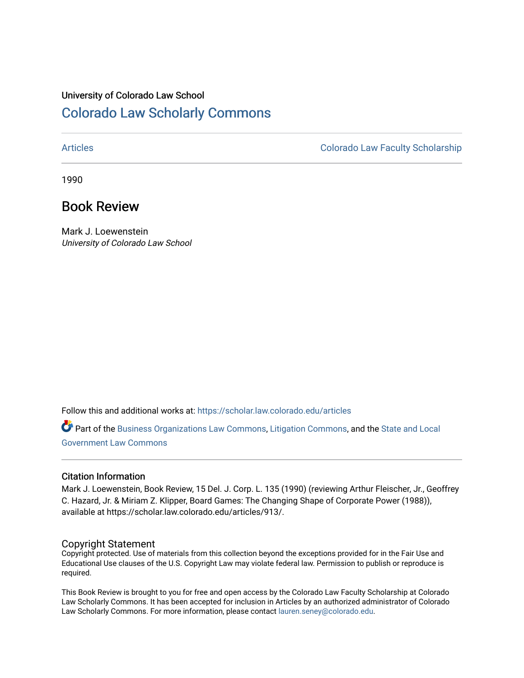## University of Colorado Law School [Colorado Law Scholarly Commons](https://scholar.law.colorado.edu/)

[Articles](https://scholar.law.colorado.edu/articles) [Colorado Law Faculty Scholarship](https://scholar.law.colorado.edu/colorado-law-faculty-scholarship) 

1990

### Book Review

Mark J. Loewenstein University of Colorado Law School

Follow this and additional works at: [https://scholar.law.colorado.edu/articles](https://scholar.law.colorado.edu/articles?utm_source=scholar.law.colorado.edu%2Farticles%2F913&utm_medium=PDF&utm_campaign=PDFCoverPages) 

Part of the [Business Organizations Law Commons](http://network.bepress.com/hgg/discipline/900?utm_source=scholar.law.colorado.edu%2Farticles%2F913&utm_medium=PDF&utm_campaign=PDFCoverPages), [Litigation Commons,](http://network.bepress.com/hgg/discipline/910?utm_source=scholar.law.colorado.edu%2Farticles%2F913&utm_medium=PDF&utm_campaign=PDFCoverPages) and the [State and Local](http://network.bepress.com/hgg/discipline/879?utm_source=scholar.law.colorado.edu%2Farticles%2F913&utm_medium=PDF&utm_campaign=PDFCoverPages)  [Government Law Commons](http://network.bepress.com/hgg/discipline/879?utm_source=scholar.law.colorado.edu%2Farticles%2F913&utm_medium=PDF&utm_campaign=PDFCoverPages) 

### Citation Information

Mark J. Loewenstein, Book Review, 15 Del. J. Corp. L. 135 (1990) (reviewing Arthur Fleischer, Jr., Geoffrey C. Hazard, Jr. & Miriam Z. Klipper, Board Games: The Changing Shape of Corporate Power (1988)), available at https://scholar.law.colorado.edu/articles/913/.

#### Copyright Statement

Copyright protected. Use of materials from this collection beyond the exceptions provided for in the Fair Use and Educational Use clauses of the U.S. Copyright Law may violate federal law. Permission to publish or reproduce is required.

This Book Review is brought to you for free and open access by the Colorado Law Faculty Scholarship at Colorado Law Scholarly Commons. It has been accepted for inclusion in Articles by an authorized administrator of Colorado Law Scholarly Commons. For more information, please contact [lauren.seney@colorado.edu](mailto:lauren.seney@colorado.edu).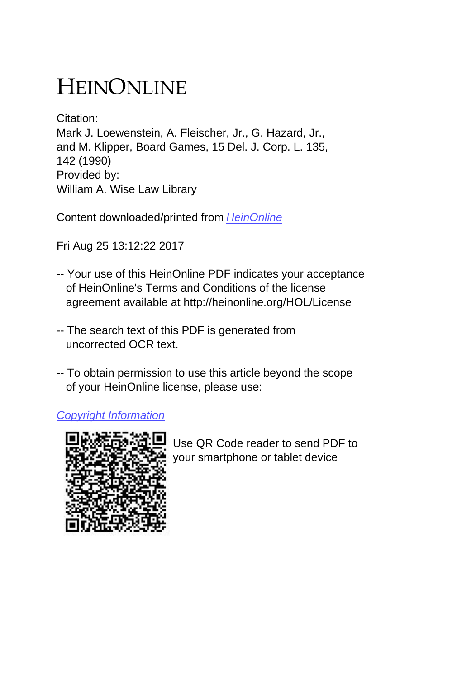# HEINONLINE

Citation: Mark J. Loewenstein, A. Fleischer, Jr., G. Hazard, Jr., and M. Klipper, Board Games, 15 Del. J. Corp. L. 135, 142 (1990) Provided by: William A. Wise Law Library

Content downloaded/printed from [HeinOnline](http://heinonline.org/HOL/Page?handle=hein.journals/decor15&collection=journals&id=143&startid=&endid=150)

Fri Aug 25 13:12:22 2017

- -- Your use of this HeinOnline PDF indicates your acceptance of HeinOnline's Terms and Conditions of the license agreement available at http://heinonline.org/HOL/License
- -- The search text of this PDF is generated from uncorrected OCR text.
- -- To obtain permission to use this article beyond the scope of your HeinOnline license, please use:

[Copyright Information](https://www.copyright.com/ccc/basicSearch.do?operation=go&searchType=0&lastSearch=simple&all=on&titleOrStdNo=0364-9490)



 Use QR Code reader to send PDF to your smartphone or tablet device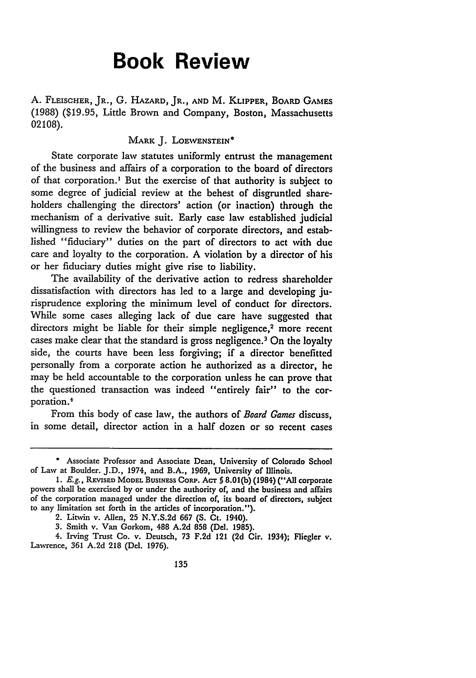# **Book Review**

**A.** FLEISCHER, **JR., G.** HAZARD, JR., **AND** M. KLIPPER, BOARD **GAMES** (1988) (\$19.95, Little Brown and Company, Boston, Massachusetts **02108).**

#### MARK J. LOEWENSTEIN<sup>\*</sup>

State corporate law statutes uniformly entrust the management of the business and affairs of a corporation to the board of directors of that corporation.' But the exercise of that authority is subject to some degree of judicial review at the behest of disgruntled shareholders challenging the directors' action (or inaction) through the mechanism of a derivative suit. Early case law established judicial willingness to review the behavior of corporate directors, and established "fiduciary" duties on the part of directors to act with due care and loyalty to the corporation. A violation by a director of his or her fiduciary duties might give rise to liability.

The availability of the derivative action to redress shareholder dissatisfaction with directors has led to a large and developing jurisprudence exploring the minimum level of conduct for directors. While some cases alleging lack of due care have suggested that directors might be liable for their simple negligence.<sup>2</sup> more recent cases make clear that the standard is gross negligence.<sup>3</sup> On the loyalty side, the courts have been less forgiving; if a director benefitted personally from a corporate action he authorized as a director, he may be held accountable to the corporation unless he can prove that the questioned transaction was indeed "entirely fair" to the corporation."

From this body of case law, the authors of *Board Games* discuss, in some detail, director action in a half dozen or so recent cases

**<sup>\*</sup>** Associate Professor and Associate Dean, University of Colorado School of Law at Boulder. J.D., 1974, and B.A., **1969,** University of Illinois.

*<sup>1.</sup>* E.g., REVISED MODEL **BUSINESS CORP. ACT § 8.01(b)** (1984) **("All** corporate powers shall be exercised **by** or under the authority of, and **the** business and affairs of the corporation managed under the direction of, its board of directors, subject to any limitation set forth in the articles of incorporation.").

<sup>2.</sup> Litwin v. Allen, **25 N.Y.S.2d 667 (S. Ct.** 1940).

**<sup>3.</sup>** Smith v. Van Gorkom, 488 **A.2d 858 (Del. 1985).**

<sup>4.</sup> Irving Trust Co. v. Deutsch, **73 F.2d 121 (2d** Cir. 1934); Fliegler **v.** Lawrence, 361 A.2d **218** (Del. **1976).**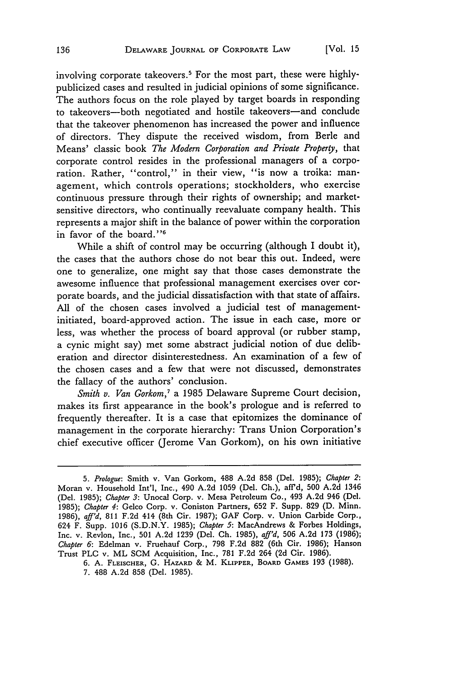involving corporate takeovers.<sup>5</sup> For the most part, these were highlypublicized cases and resulted in judicial opinions of some significance. The authors focus on the role played by target boards in responding to takeovers-both negotiated and hostile takeovers-and conclude that the takeover phenomenon has increased the power and influence of directors. They dispute the received wisdom, from Berle and Means' classic book *The Modern Corporation and Private Property,* that corporate control resides in the professional managers of a corporation. Rather, "control," in their view, "is now a troika: management, which controls operations; stockholders, who exercise continuous pressure through their rights of ownership; and marketsensitive directors, who continually reevaluate company health. This represents a major shift in the balance of power within the corporation in favor of the board."<sup>6</sup>

While a shift of control may be occurring (although I doubt it), the cases that the authors chose do not bear this out. Indeed, were one to generalize, one might say that those cases demonstrate the awesome influence that professional management exercises over corporate boards, and the judicial dissatisfaction with that state of affairs. All of the chosen cases involved a judicial test of managementinitiated, board-approved action. The issue in each case, more or less, was whether the process of board approval (or rubber stamp, a cynic might say) met some abstract judicial notion of due deliberation and director disinterestedness. An examination of a few of the chosen cases and a few that were not discussed, demonstrates the fallacy of the authors' conclusion.

*Smith v. Van Gorkom,7* a 1985 Delaware Supreme Court decision, makes its first appearance in the book's prologue and is referred to frequently thereafter. It is a case that epitomizes the dominance of management in the corporate hierarchy: Trans Union Corporation's chief executive officer (Jerome Van Gorkom), on his own initiative

*<sup>5.</sup> Prologue:* Smith v. Van Gorkom, 488 A.2d 858 (Del. 1985); *Chapter 2:* Moran v. Household Int'l, Inc., 490 A.2d 1059 (Del. Ch.), aff'd, 500 A.2d 1346 (Del. 1985); *Chapter 3:* Unocal Corp. v. Mesa Petroleum Co., 493 A.2d 946 (Dcl. 1985); *Chapter 4:* Gelco Corp. v. Coniston Partners, 652 F. Supp. 829 (D. Minn. 1986), *aff'd,* 811 F.2d 414 (8th Cir. 1987); GAF Corp. v. Union Carbide Corp., 624 F. Supp. 1016 (S.D.N.Y. 1985); *Chapter 5:* MacAndrews & Forbes Holdings, Inc. v. Revlon, Inc., 501 A.2d 1239 (Del. Ch. 1985), *aff'd,* 506 A.2d 173 (1986); *Chapter 6:* Edelman v. Fruehauf Corp., 798 F.2d 882 (6th Cir. 1986); Hanson Trust PLC v. ML SCM Acquisition, Inc., 781 F.2d 264 (2d Cir. 1986).

**<sup>6.</sup>** A. FLEISCHER, G. HAZARD & M. KLIPPER, BOARD **GAMES** 193 (1988). 7. 488 A.2d 858 (Del. 1985).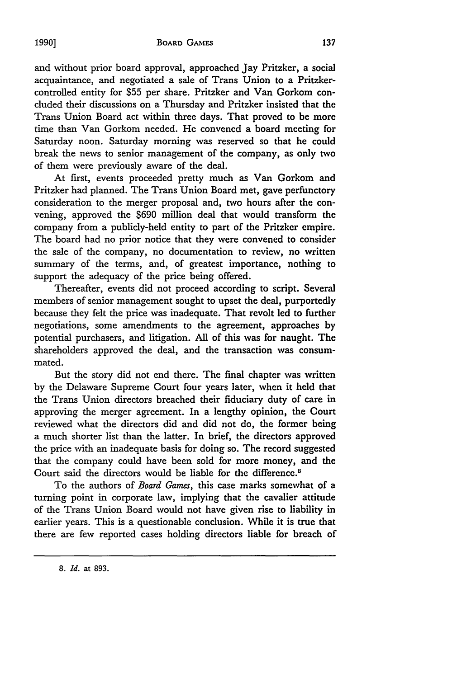and without prior board approval, approached Jay Pritzker, a social acquaintance, and negotiated a sale of Trans Union to a Pritzkercontrolled entity for **\$55** per share. Pritzker and Van Gorkom concluded their discussions on a Thursday and Pritzker insisted that the Trans Union Board act within three days. That proved to be more time than Van Gorkom needed. He convened a board meeting for Saturday noon. Saturday morning was reserved so that he could break the news to senior management of the company, as only two of them were previously aware of the deal.

At first, events proceeded pretty much as Van Gorkom and Pritzker had planned. The Trans Union Board met, gave perfunctory consideration to the merger proposal and, two hours after the convening, approved the \$690 million deal that would transform the company from a publicly-held entity to part of the Pritzker empire. The board had no prior notice that they were convened to consider the sale of the company, no documentation to review, no written summary of the terms, and, of greatest importance, nothing to support the adequacy of the price being offered.

Thereafter, events did not proceed according to script. Several members of senior management sought to upset the deal, purportedly because they felt the price was inadequate. That revolt led to further negotiations, some amendments to the agreement, approaches **by** potential purchasers, and litigation. All of this was for naught. The shareholders approved the deal, and the transaction was consummated.

But the story did not end there. The final chapter was written by the Delaware Supreme Court four years later, when it held that the Trans Union directors breached their fiduciary duty of care in approving the merger agreement. In a lengthy opinion, the Court reviewed what the directors did and did not do, the former being a much shorter list than the latter. In brief, the directors approved the price with an inadequate basis for doing so. The record suggested that the company could have been sold for more money, and the Court said the directors would be liable for the difference.<sup>8</sup>

To the authors of *Board Games,* this case marks somewhat of a turning point in corporate law, implying that the cavalier attitude of the Trans Union Board would not have given rise to liability in earlier years. This is a questionable conclusion. While it is true that there are few reported cases holding directors liable for breach of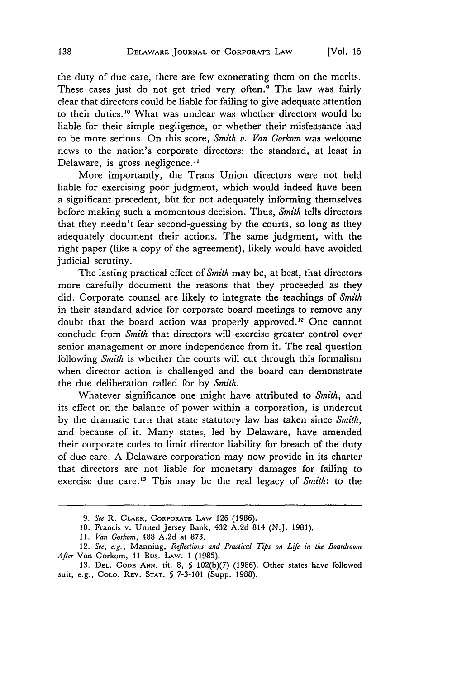the duty of due care, there are few exonerating them on the merits. These cases just do not get tried very often.<sup>9</sup> The law was fairly clear that directors could be liable for failing to give adequate attention to their duties.<sup>10</sup> What was unclear was whether directors would be liable for their simple negligence, or whether their misfeasance had to be more serious. On this score, *Smith v. Van Gorkom* was welcome news to the nation's corporate directors: the standard, at least in Delaware, is gross negligence.<sup>11</sup>

More importantly, the Trans Union directors were not held liable for exercising poor judgment, which would indeed have been a significant precedent, bit for not adequately informing themselves before making such a momentous decision. Thus, *Smith* tells directors that they needn't fear second-guessing by the courts, so long as they adequately document their actions. The same judgment, with the right paper (like a copy of the agreement), likely would have avoided judicial scrutiny.

The lasting practical effect of *Smith* may be, at best, that directors more carefully document the reasons that they proceeded as they did. Corporate counsel are likely to integrate the teachings of *Smith* in their standard advice for corporate board meetings to remove any doubt that the board action was properly approved.<sup>12</sup> One cannot conclude from *Smith* that directors will exercise greater control over senior management or more independence from it. The real question following *Smith* is whether the courts will cut through this formalism when director action is challenged and the board can demonstrate the due deliberation called for by *Smith.*

Whatever significance one might have attributed to *Smith,* and its effect on the balance of power within a corporation, is undercut by the dramatic turn that state statutory law has taken since *Smith,* and because of it. Many states, led by Delaware, have amended their corporate codes to limit director liability for breach of the duty of due care. A Delaware corporation may now provide in its charter that directors are not liable for monetary damages for failing to exercise due care.<sup>13</sup> This may be the real legacy of *Smith*: to the

<sup>9.</sup> *See* R. CLARK, CORPORATE **LAW** 126 (1986).

<sup>10.</sup> Francis v. United Jersey Bank, 432 A.2d 814 (N.J. 1981).

<sup>11.</sup> *Van Gorkom,* 488 A.2d at 873,

<sup>12.</sup> *See, e.g.,* Manning, *Reflections and Practical Tips on Life in the Boardroom After* Van Gorkom, 41 Bus. LAW. 1 (1985).

<sup>13.</sup> **DEL. CODE ANN. tit.** 8, **§** 102(b)(7) (1986). Other states have followed Suit, e.g., **COLO. REV. STAT. 5** 7-3-101 (Supp. 1988).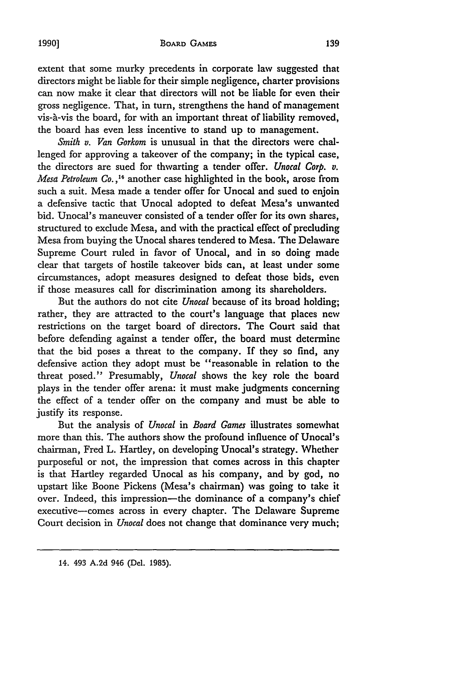#### **9BOARD GAMES**

extent that some murky precedents in corporate law suggested that directors might be liable for their simple negligence, charter provisions can now make it clear that directors will not be liable for even their gross negligence. That, in turn, strengthens the hand of management vis-à-vis the board, for with an important threat of liability removed, the board has even less incentive to stand up to management.

*Smith v. Van Gorkom* is unusual in that the directors were challenged for approving a takeover of the company; in the typical case, the directors are sued for thwarting a tender offer. *Unocal Corp. v. Mesa Petroleum Co.,"* another case highlighted in the book, arose from such a suit. Mesa made a tender offer for Unocal and sued to enjoin a defensive tactic that Unocal adopted to defeat Mesa's unwanted bid. Unocal's maneuver consisted of a tender offer for its own shares, structured to exclude Mesa, and with the practical effect of precluding Mesa from buying the Unocal shares tendered to Mesa. The Delaware Supreme Court ruled in favor of Unocal, and in so doing made clear that targets of hostile takeover bids can, at least under some circumstances, adopt measures designed to defeat those bids, even if those measures call for discrimination among its shareholders.

But the authors do not cite *Unocal* because of its broad holding; rather, they are attracted to the court's language that places new restrictions on the target board of directors. The Court said that before defending against a tender offer, the board must determine that the bid poses a threat to the company. If they so find, any defensive action they adopt must be "reasonable in relation to the threat posed." Presumably, *Unocal* shows the key role the board plays in the tender offer arena: it must make judgments concerning the effect of a tender offer on the company and must be able to justify its response.

But the analysis of *Unocal in Board Games* illustrates somewhat more than this. The authors show the profound influence of Unocal's chairman, Fred L. Hartley, on developing Unocal's strategy. Whether purposeful or not, the impression that comes across in this chapter is that Hartley regarded Unocal as his company, and by god, no upstart like Boone Pickens (Mesa's chairman) was going to take it over. Indeed, this impression-the dominance of a company's chief executive-comes across in every chapter. The Delaware Supreme Court decision in *Unocal* does not change that dominance very much;

14. 493 A.2d 946 (Del. 1985).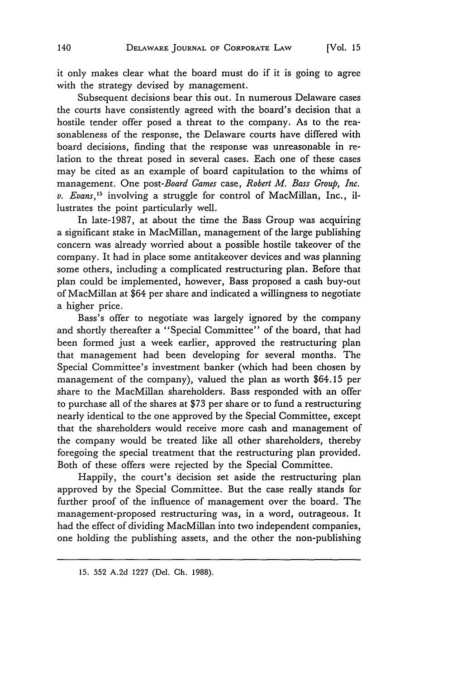it only makes clear what the board must do if it is going to agree with the strategy devised by management.

Subsequent decisions bear this out. In numerous Delaware cases the courts have consistently agreed with the board's decision that a hostile tender offer posed a threat to the company. As to the reasonableness of the response, the Delaware courts have differed with board decisions, finding that the response was unreasonable in relation to the threat posed in several cases. Each one of these cases may be cited as an example of board capitulation to the whims of management. One *post-Board Games* case, *Robert M. Bass Group, Inc. v. Evans,15* involving a struggle for control of MacMillan, Inc., illustrates the point particularly well.

In late-1987, at about the time the Bass Group was acquiring a significant stake in MacMillan, management of the large publishing concern was already worried about a possible hostile takeover of the company. It had in place some antitakeover devices and was planning some others, including a complicated restructuring plan. Before that plan could be implemented, however, Bass proposed a cash buy-out of MacMillan at \$64 per share and indicated a willingness to negotiate a higher price.

Bass's offer to negotiate was largely ignored by the company and shortly thereafter a "Special Committee" of the board, that had been formed just a week earlier, approved the restructuring plan that management had been developing for several months. The Special Committee's investment banker (which had been chosen by management of the company), valued the plan as worth \$64.15 per share to the MacMillan shareholders. Bass responded with an offer to purchase all of the shares at \$73 per share or to fund a restructuring nearly identical to the one approved by the Special Committee, except that the shareholders would receive more cash and management of the company would be treated like all other shareholders, thereby foregoing the special treatment that the restructuring plan provided. Both of these offers were rejected by the Special Committee.

Happily, the court's decision set aside the restructuring plan approved by the Special Committee. But the case really stands for further proof of the influence of management over the board. The management-proposed restructuring was, in a word, outrageous. It had the effect of dividing MacMillan into two independent companies, one holding the publishing assets, and the other the non-publishing

<sup>15. 552</sup> A.2d 1227 (Del. Ch. 1988).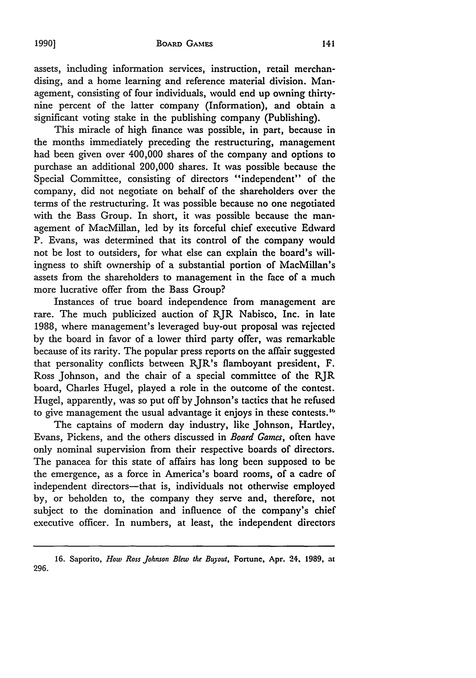assets, including information services, instruction, retail merchandising, and a home learning and reference material division. Management, consisting of four individuals, would end up owning thirtynine percent of the latter company (Information), and obtain a significant voting stake in the publishing company (Publishing).

This miracle of high finance was possible, in part, because in the months immediately preceding the restructuring, management had been given over 400,000 shares of the company and options to purchase an additional 200,000 shares. It was possible because the Special Committee, consisting of directors "independent" of the company, did not negotiate on behalf of the shareholders over the terms of the restructuring. It was possible because no one negotiated with the Bass Group. In short, it was possible because the management of MacMillan, led by its forceful chief executive Edward P. Evans, was determined that its control of the company would not be lost to outsiders, for what else can explain the board's willingness to shift ownership of a substantial portion of MacMillan's assets from the shareholders to management in the face of a much more lucrative offer from the Bass Group?

Instances of true board independence from management are rare. The much publicized auction of RJR Nabisco, Inc. in late 1988, where management's leveraged buy-out proposal was rejected by the board in favor of a lower third party offer, was remarkable because of its rarity. The popular press reports on the affair suggested that personality conflicts between RJR's flamboyant president, F. Ross Johnson, and the chair of a special committee of the RJR board, Charles Hugel, played a role in the outcome of the contest. Hugel, apparently, was so put off by Johnson's tactics that he refused to give management the usual advantage it enjoys in these contests.<sup>16</sup>

The captains of modern day industry, like Johnson, Hartley, Evans, Pickens, and the others discussed in *Board Games,* often have only nominal supervision from their respective boards of directors. The panacea for this state of affairs has long been supposed to be the emergence, as a force in America's board rooms, of a cadre of independent directors-that is, individuals not otherwise employed by, or beholden to, the company they serve and, therefore, not subject to the domination and influence of the company's chief executive officer. In numbers, at least, the independent directors

<sup>16.</sup> Saporito, *How Ross Johnson Blew the Buyout*, Fortune, Apr. 24, 1989, at 296.